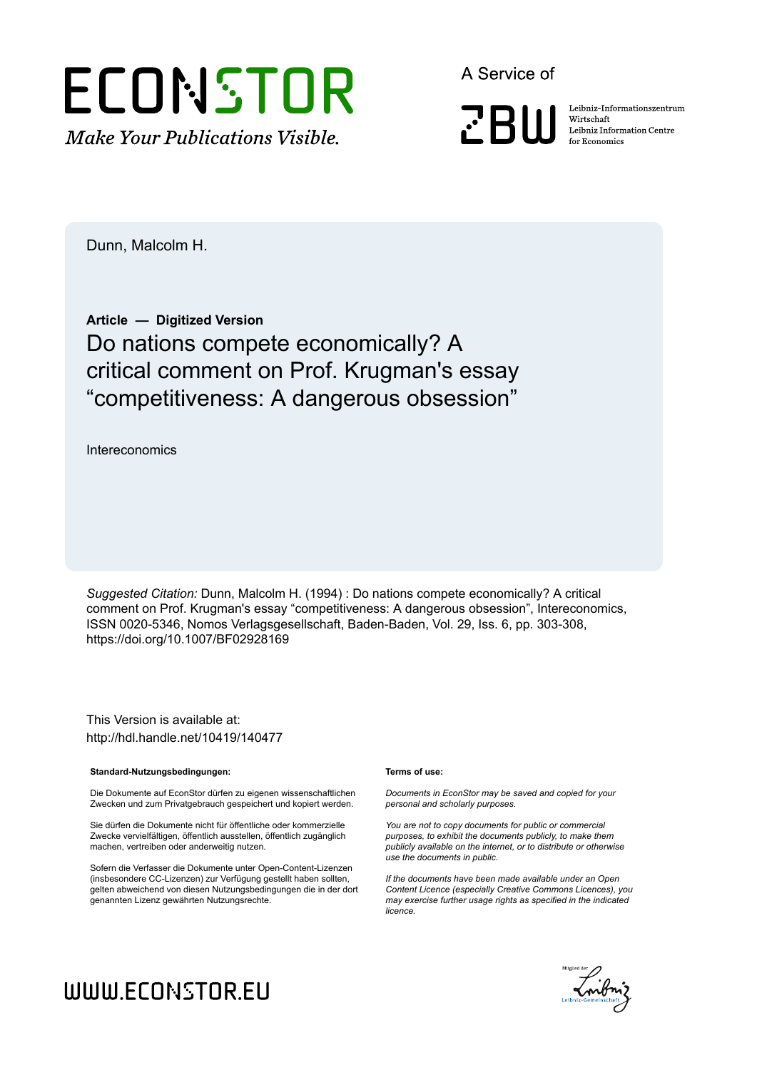

A Service of

**PRIII** 

Leibniz Informationszentrum Wirtschaft Leibniz Information Centre for Economics

Dunn, Malcolm H.

### **Article — Digitized Version** Do nations compete economically? A critical comment on Prof. Krugman's essay "competitiveness: A dangerous obsession"

Intereconomics

*Suggested Citation:* Dunn, Malcolm H. (1994) : Do nations compete economically? A critical comment on Prof. Krugman's essay "competitiveness: A dangerous obsession", Intereconomics, ISSN 0020-5346, Nomos Verlagsgesellschaft, Baden-Baden, Vol. 29, Iss. 6, pp. 303-308, https://doi.org/10.1007/BF02928169

This Version is available at: http://hdl.handle.net/10419/140477

#### **Standard-Nutzungsbedingungen:**

Die Dokumente auf EconStor dürfen zu eigenen wissenschaftlichen Zwecken und zum Privatgebrauch gespeichert und kopiert werden.

Sie dürfen die Dokumente nicht für öffentliche oder kommerzielle Zwecke vervielfältigen, öffentlich ausstellen, öffentlich zugänglich machen, vertreiben oder anderweitig nutzen.

Sofern die Verfasser die Dokumente unter Open-Content-Lizenzen (insbesondere CC-Lizenzen) zur Verfügung gestellt haben sollten, gelten abweichend von diesen Nutzungsbedingungen die in der dort genannten Lizenz gewährten Nutzungsrechte.

#### **Terms of use:**

*Documents in EconStor may be saved and copied for your personal and scholarly purposes.*

*You are not to copy documents for public or commercial purposes, to exhibit the documents publicly, to make them publicly available on the internet, or to distribute or otherwise use the documents in public.*

*If the documents have been made available under an Open Content Licence (especially Creative Commons Licences), you may exercise further usage rights as specified in the indicated licence.*

# Enibriz Geneinschaft

## WWW.ECONSTOR.EU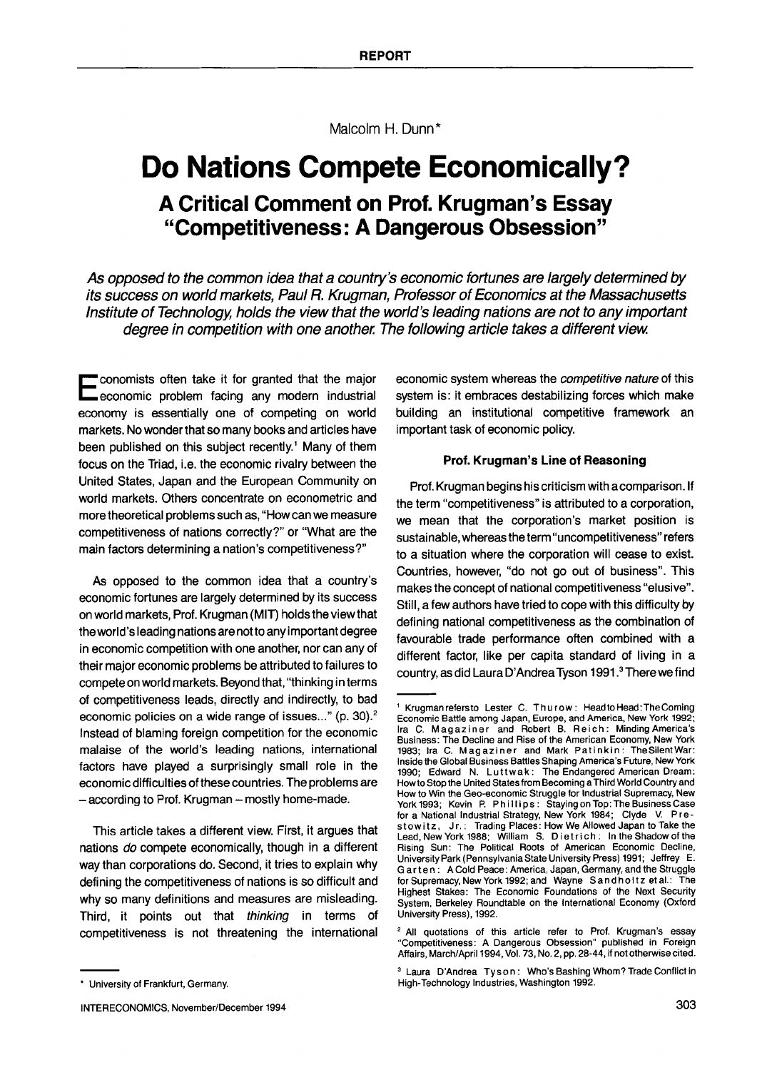Malcolm H. Dunn\*

## **Do Nations Compete Economically? A Critical Comment on Prof. Krugman's Essay "Competitiveness: A Dangerous Obsession"**

*As opposed to the common idea that a country's economic fortunes are largely determined by its success on world markets, Paul R. Krugman, Professor of Economics at the Massachusetts Institute of Technology, holds the view that the world's leading nations are not to any important degree in competition with one another. The following article takes a different view.* 

**E** conomists often take it for granted that the major economic problem facing any modern industrial economy is essentially one of competing on world markets. No wonder that so many books and articles have been published on this subject recently.<sup>1</sup> Many of them focus on the Triad, i.e. the economic rivalry between the United States, Japan and the European Community on world markets. Others concentrate on econometric and more theoretical problems such as, "How can we measure competitiveness of nations correctly?" or "What are the main factors determining a nation's competitiveness?"

As opposed to the common idea that a country's economic fortunes are largely determined by its success on world markets, Prof. Krugman (MIT) holds the view that the world's leading nations are not to any important degree in economic competition with one another, nor can any of their major economic problems be attributed to failures to compete on world markets. Beyond that, "thinking in terms of competitiveness leads, directly and indirectly, to bad economic policies on a wide range of issues..." (p. 30).<sup>2</sup> Instead of blaming foreign competition for the economic malaise of the world's leading nations, international factors have played a surprisingly small role in the economic difficulties of these countries. The problems are  $-$  according to Prof. Krugman  $-$  mostly home-made.

This article takes a different view. First, it argues that nations *do* compete economically, though in a different way than corporations do. Second, it tries to explain why defining the competitiveness of nations is so difficult and why so many definitions and measures are misleading. Third, it points out that *thinking* in terms of competitiveness is not threatening the international

economic system whereas the *competitive nature* of this system is: it embraces destabilizing forces which make building an institutional competitive framework an important task of economic policy.

#### **Prof. Krugman's Line of Reasoning**

Prof. Krugman begins his criticism with a comparison. If the term "competitiveness" is attributed to a corporation, we mean that the corporation's market position is sustainable, whereas the term"uncompetitiveness" refers to a situation where the corporation will cease to exist. Countries, however, *"do* not go out of business". This makes the concept of national competitiveness "elusive". Still, a few authors have tried to cope with this difficulty by defining national competitiveness as the combination of favourable trade performance often combined with a different factor, like per capita standard of living in a country, as did Laura D'Andrea Tyson 1991.<sup>3</sup> There we find

<sup>\*</sup> University of Frankfurt, Germany.

Krugmanrefersto Lester C. Thurow: HeadtoHead: The Coming Economic Battle among Japan, Europe, and America, New York 1992; Ira C. Magaziner and Robert B. Reich: Minding America's Business: The Decline and Rise of the American Economy, New York 1983; Ira C. Magaziner and Mark Patinkin: TheSilentWar: Inside the Global Business Battles Shaping America's Future, New York 1990; Edward N. Luttwak: The Endangered American Dream: Howto Stop the United States from Becoming aThird World Country and How to Win the Geo-economic Struggle for Industrial Supremacy, New York1993; Kevin P. Phillips: StayingonTop:TheBusinessCase for a National Industrial Strategy, New York 1984; Clyde V. Pre-<br>stow itz, Jr.: Trading Places: How We Allowed Japan to Take the Lead, New York 1988; William S. Dietrich: In the Shadow of the Rising Sun: The Political Roots of American Economic Decline, University Park (Pennsylvania State University Press) 1991; Jeffrey E. Garten: A Cold Peace: America, Japan, Germany, and the Struggle for Supremacy, New York 1992; and Wayne Sandholtz et al.: The Highest Stakes: The Economic Foundations of the Next Security System, Berkeley Roundtable on the International Economy (Oxford University Press), 1992.

<sup>&</sup>lt;sup>2</sup> All quotations of this article refer to Prof. Krugman's essay "Competitiveness: A Dangerous Obsession" published in Foreign Affairs, March/April 1994, Vol. 73, No. 2, pp. 28-44, if not otherwise cited.

<sup>&</sup>lt;sup>3</sup> Laura D'Andrea Tyson: Who's Bashing Whom? Trade Conflict in High-Technology Industries, Washington 1992.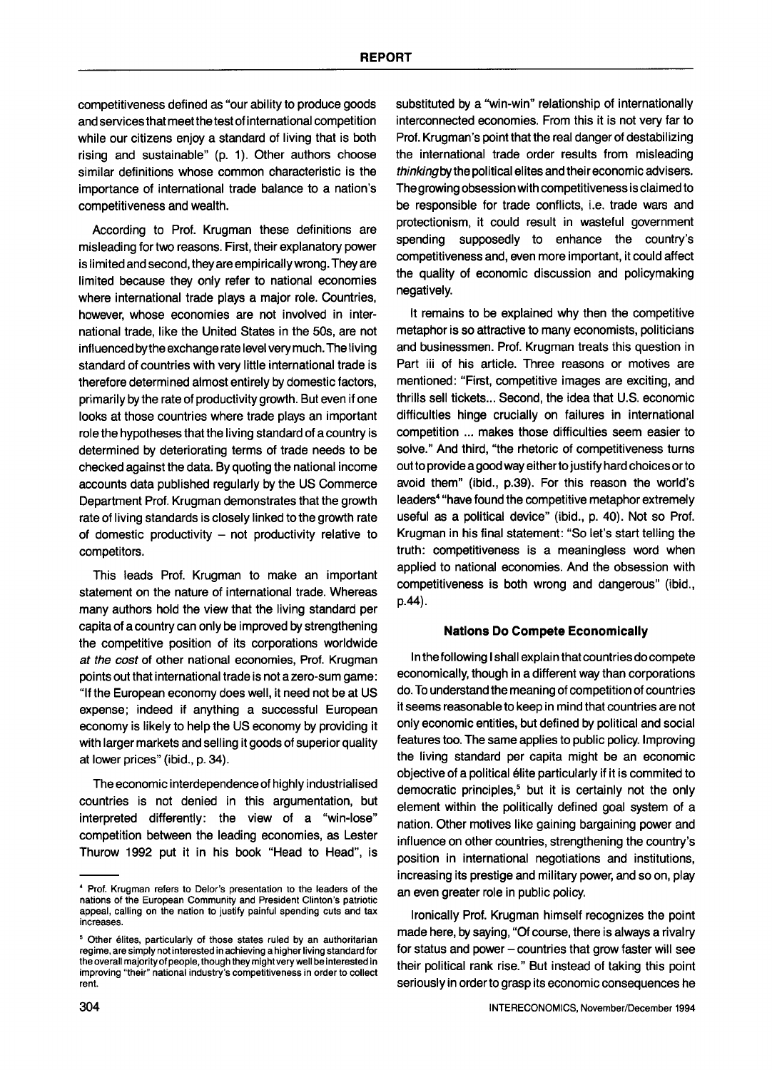competitiveness defined as "our ability to produce goods and services that meet the test of international competition while our citizens enjoy a standard of living that is both rising and sustainable" (p. 1). Other authors choose similar definitions whose common characteristic is the importance of international trade balance to a nation's competitiveness and wealth.

According to Prof. Krugman these definitions are misleading for two reasons. First, their explanatory power is limited and second, they are empirically wrong. They are limited because they only refer to national economies where international trade plays a major role. Countries, however, whose economies are not involved in international trade, like the United States in the 50s, are not influenced bythe exchange rate level very much. The living standard of countries with very little international trade is therefore determined almost entirely by domestic factors, primarily by the rate of productivity growth. But even if one looks at those countries where trade plays an important role the hypotheses that the living standard of a country is determined by deteriorating terms of trade needs to be checked against the data. By quoting the national income accounts data published regularly by the US Commerce Department Prof. Krugman demonstrates that the growth rate of living standards is closely linked to the growth rate of domestic productivity  $-$  not productivity relative to competitors.

This leads Prof. Krugman to make an important statement on the nature of international trade. Whereas many authors hold the view that the living standard per capita of a country can only be improved by strengthening the competitive position of its corporations worldwide *at the cost* of other national economies, Prof. Krugman points out that international trade is not a zero-sum game: "If the European economy does well, it need not be at US expense; indeed if anything a successful European economy is likely to help the US economy by providing it with larger markets and selling it goods of superior quality at lower prices" (ibid., p. 34).

The economic interdependence of highly industrialised countries is not denied in this argumentation, but interpreted differently: the view of a "win-lose" competition between the leading economies, as Lester Thurow 1992 put it in his book "Head to Head", is

substituted by a "win-win" relationship of internationally interconnected economies. From this it is not very far to Prof. Krugman's point that the real danger of destabilizing the international trade order results from misleading *thinkingbythe* political elites and their economic advisers. The growing obsession with competitiveness is claimed to be responsible for trade conflicts, i.e. trade wars and protectionism, it could result in wasteful government spending supposedly to enhance the country's competitiveness and, even more important, it could affect the quality of economic discussion and policymaking negatively.

It remains to be explained why then the competitive metaphor is so attractive to many economists, politicians and businessmen. Prof. Krugman treats this question in Part iii of his article. Three reasons or motives are mentioned: "First, competitive images are exciting, and thrills sell tickets... Second, the idea that U.S. economic difficulties hinge crucially on failures in international competition ... makes those difficulties seem easier to solve." And third, "the rhetoric of competitiveness turns out to provide a good way either to justify hard choices or to avoid them" (ibid., p.39). For this reason the world's leaders<sup>4</sup> "have found the competitive metaphor extremely useful as a political device" (ibid., p. 40). Not so Prof. Krugman in his final statement: "So let's start telling the truth: competitiveness is a meaningless word when applied to national economies. And the obsession with competitiveness is both wrong and dangerous" (ibid., p.44).

#### **Nations Do Compete Economically**

In the following I shall explain that countries do compete economically, though in a different way than corporations do. To understand the meaning of competition of countries it seems reasonable to keep in mind that countries are not only economic entities, but defined by political and social features too. The same applies to public policy. Improving the living standard per capita might be an economic objective of a political elite particularly if it is commited to democratic principles,<sup>5</sup> but it is certainly not the only element within the politically defined goal system of a nation. Other motives like gaining bargaining power and influence on other countries, strengthening the country's position in international negotiations and institutions, increasing its prestige and military power, and so on, play an even greater role in public policy.

Ironically Prof. Krugman himself recognizes the point made here, by saying, "Of course, there is always a rivalry for status and power - countries that grow faster will see their political rank rise." But instead of taking this point seriously in order to grasp its economic consequences he

<sup>4</sup> Prof. Krugman refers to Delor's presentation to the leaders of the nations of the European Community and President Clinton's patriotic appeal, calling on the nation to justify painful spending cuts and tax increases.

<sup>&</sup>lt;sup>5</sup> Other élites, particularly of those states ruled by an authoritarian regime, are simply not interested in achieving a higher living standard for the overall majority of people, though they might very well be interested in improving "their" national industry's competitiveness in order to collect rent.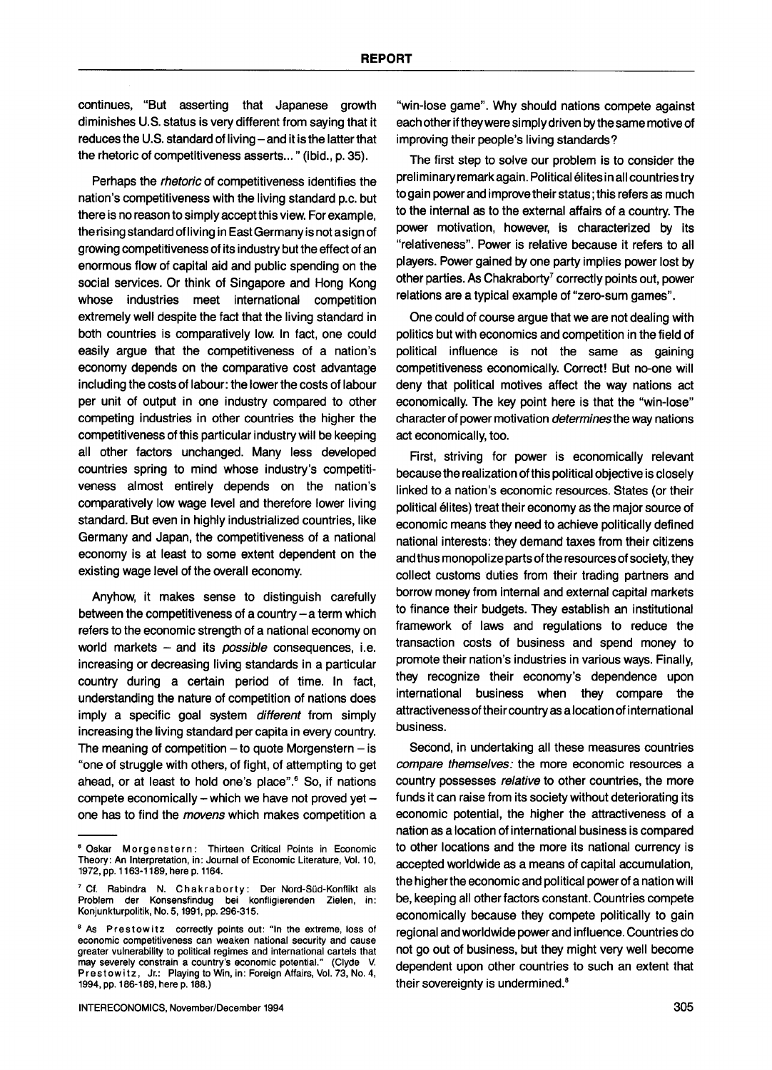continues, "But asserting that Japanese growth diminishes U.S. status is very different from saying that it reduces the U.S. standard of living- and it is the latter that the rhetoric of competitiveness asserts..." (ibid., p. 35).

Perhaps the *rhetoric* of competitiveness identifies the nation's competitiveness with the living standard p.c. but there is no reason to simply accept this view. For example, the rising standard of living in East Germany is not a sign of growing competitiveness of its industry but the effect of an enormous flow of capital aid and public spending on the social services. Or think of Singapore and Hong Kong whose industries meet international competition extremely well despite the fact that the living standard in both countries is comparatively low. In fact, one could easily argue that the competitiveness of a nation's economy depends on the comparative cost advantage including the costs of labour: the lower the costs of labour per unit of output in one industry compared to other competing industries in other countries the higher the competitiveness of this particular industry will be keeping all other factors unchanged. Many less developed countries spring to mind whose industry's competitiveness almost entirely depends on the nation's comparatively low wage level and therefore lower living standard. But even in highly industrialized countries, like Germany and Japan, the competitiveness of a national economy is at least to some extent dependent on the existing wage level of the overall economy.

Anyhow, it makes sense to distinguish carefully between the competitiveness of a country  $-$  a term which refers to the economic strength of a national economy on world markets **-** and its *possible* consequences, i.e. increasing or decreasing living standards in a particular country during a certain period of time. In fact, understanding the nature of competition of nations does imply a specific goal system *different* from simply increasing the living standard per capita in every country. The meaning of competition  $-$  to quote Morgenstern  $-$  is "one of struggle with others, of fight, of attempting to get ahead, or at least to hold one's place".<sup>6</sup> So, if nations compete economically - which we have not proved yet  $$ one has to find the *movens* which makes competition a "win-lose game". Why should nations compete against each other if they were simply driven by the same motive of improving their people's living standards?

The first step to solve our problem is to consider the preliminary remark again. Political élites in all countries try to gain power and improve their status; this refers as much to the internal as to the external affairs of a country. The power motivation, however, is characterized by its "relativeness". Power is relative because it refers to all players. Power gained by one party implies power lost by other parties. As Chakraborty<sup>7</sup> correctly points out, power relations are a typical example of "zero-sum games".

One could of course argue that we are not dealing with politics but with economics and competition in the field of political influence is not the same as gaining competitiveness economically. Correct! But no-one will deny that political motives affect the way nations act economically. The key point here is that the "win-lose" character of power motivation *determinesthe* way nations act economically, too.

First, striving for power is economically relevant because the realization of this political objective is closely linked to a nation's economic resources. States (or their political élites) treat their economy as the major source of economic means they need to achieve politically defined national interests: they demand taxes from their citizens and thus monopolize parts of the resou rces of society, they collect customs duties from their trading partners and borrow money from internal and external capital markets to finance their budgets. They establish an institutional framework of laws and regulations to reduce the transaction costs of business and spend money to promote their nation's industries in various ways. Finally, they recognize their economy's dependence upon international business when they compare the attractiveness of their country as a location of international business.

Second, in undertaking all these measures countries *compare themselves:* the more economic resources a country possesses *relative* to other countries, the more funds it can raise from its society without deteriorating its economic potential, the higher the attractiveness of a nation as a location of international business is compared to other locations and the more its national currency is accepted worldwide as a means of capital accumulation, the higher the economic and political power of a nation will be, keeping all other factors constant. Countries compete economically because they compete politically to gain regional and worldwide power and influence. Countries do not go out of business, but they might very well become dependent upon other countries to such an extent that their sovereignty is undermined. $8$ 

<sup>&</sup>lt;sup>8</sup> Oskar Morgenstern: Thirteen Critical Points in Economic Theory: An Interpretation, in: Journal of Economic Literature, Vol. 10, 1972, pp. 1163-1189, here p. 1164.

<sup>&</sup>lt;sup>7</sup> Cf. Rabindra N. Chakraborty: Der Nord-Süd-Konflikt als Problem der Konsensfindug bei konfligierenden Zielen, in: Konjunkturpolitik, No. 5, 1991, pp. 296-315.

<sup>&</sup>lt;sup>8</sup> As Prestowitz correctly points out: "In the extreme, loss of economic competitiveness can weaken national security and cause greater vulnerability to political regimes and international cartels that may severely constrain a country's economic potential." (Clyde V. Prestowitz, Jr.: Playing to Win, in: Foreign Affairs, Vol. 73, No. 4, 1994, pp. 186-189, here p. 188.)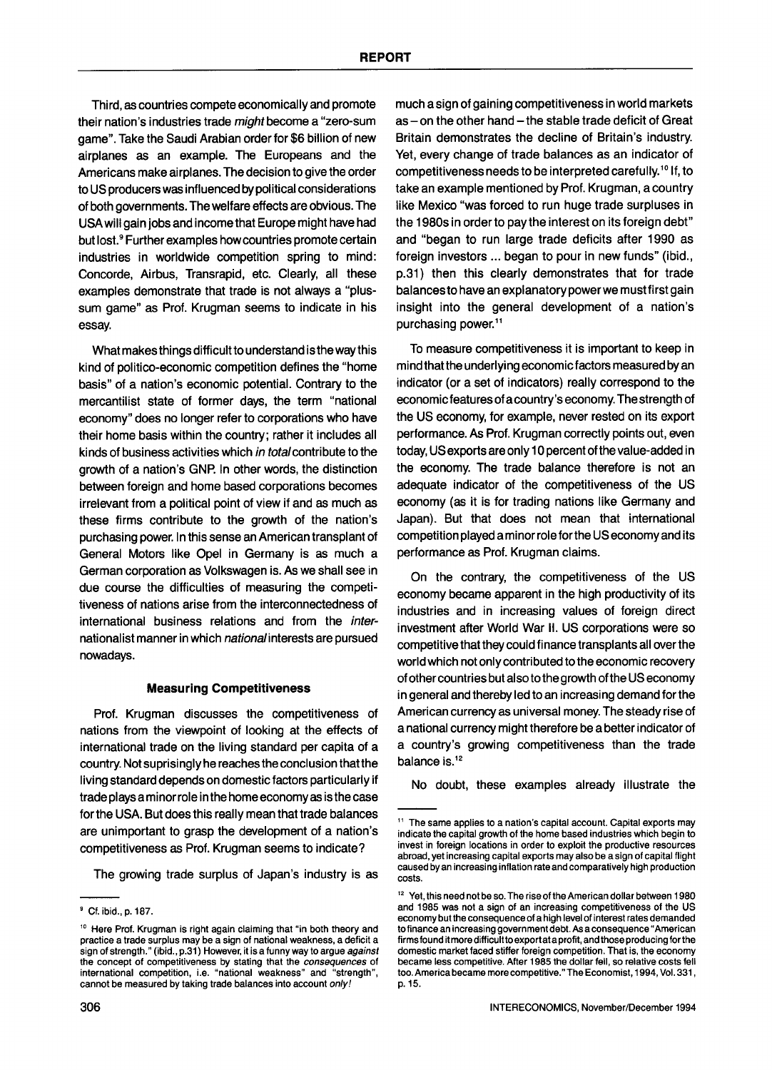Third, as countries compete economically and promote their nation's industries trade *might* become a "zero-sum game". Take the Saudi Arabian order for \$6 billion of new airplanes as an example. The Europeans and the Americans make airplanes. The decision to give the order to US producers was influenced by political considerations of both governments. The welfare effects are obvious. The USAwill gain jobs and income that Europe might have had but lost. 9 Further examples howcountries promote certain industries in worldwide competition spring to mind: Concorde, Airbus, Transrapid, etc. Clearly, all these examples demonstrate that trade is not always a "plussum game" as Prof. Krugman seems to indicate in his essay.

What makes things difficult to understand is the way this kind of politico-economic competition defines the "home basis" of a nation's economic potential. Contrary to the mercantilist state of former days, the term "national economy" does no longer refer to corporations who have their home basis within the country; rather it includes all kinds of business activities which *in totalcontribute* to the growth of a nation's GNP. In other words, the distinction between foreign and home based corporations becomes irrelevant from a political point of view if and as much as these firms contribute to the growth of the nation's purchasing power. In this sense an American transplant of General Motors like Opel in Germany is as much a German corporation as Volkswagen is. As we shall see in due course the difficulties of measuring the competitiveness of nations arise from the interconnectedness of international business relations and from the *inter*nationalist manner in which *nationalinterests* are pursued nowadays.

#### **Measuring Competitiveness**

Prof. Krugman discusses the competitiveness of nations from the viewpoint of looking at the effects of international trade on the living standard per capita of a country. Not suprisingly he reaches the conclusion that the living standard depends on domestic factors particularly if trade plays a minor role in the home economy as is the case for the USA. But does this really mean that trade balances are unimportant to grasp the development of a nation's competitiveness as Prof. Krugman seems to indicate?

The growing trade surplus of Japan's industry is as

much a sign of gaining competitiveness in world markets as - on the other hand - the stable trade deficit of Great Britain demonstrates the decline of Britain's industry. Yet, every change of trade balances as an indicator of competitiveness needs to be interpreted carefully.<sup>10</sup> If, to take an example mentioned by Prof. Krugman, a country like Mexico "was forced to run huge trade surpluses in the 1980s in order to pay the interest on its foreign debt" and "began to run large trade deficits after 1990 as foreign investors ... began to pour in new funds" (ibid., p.31) then this clearly demonstrates that for trade balances to have an explanatory power we must first gain insight into the general development of a nation's purchasing power.<sup>11</sup>

To measure competitiveness it is important to keep in mind that the underlying economic factors measured by an indicator (or a set of indicators) really correspond to the economic features of a country's economy. The strength of the US economy, for example, never rested on its export performance. As Prof. Krugman correctly points out, even today, US exports are only 10 percent of the value-added in the economy. The trade balance therefore is not an adequate indicator of the competitiveness of the US economy (as it is for trading nations like Germany and Japan). But that does not mean that international competition played a minor role for the US economy and its performance as Prof. Krugman claims.

On the contrary, the competitiveness of the US economy became apparent in the high productivity of its industries and in increasing values of foreign direct investment after World War I1. US corporations were so competitive that they could finance transplants all over the world which not only contributed to the economic recovery of other countries but also to the growth of the US economy in general and thereby led to an increasing demand for the American currency as universal money. The steady rise of a national currency might therefore be a better indicator of a country's growing competitiveness than the trade balance is. $12$ 

No doubt, these examples already illustrate the

<sup>9</sup> Cf. ibid., p. 187.

<sup>&</sup>lt;sup>10</sup> Here Prof. Krugman is right again claiming that "in both theory and practice a trade surplus may be a sign of national weakness, a deficit a sign of strength." (ibid., p.31) However, it is a funny way to argue *against*  the concept of competitiveness by stating that the *consequences* of international competition, i.e. "national weakness" and "strength", cannot be measured by taking trade balances into account *only!* 

<sup>&</sup>lt;sup>11</sup> The same applies to a nation's capital account. Capital exports may indicate the capital growth of the home based industries which begin to invest in foreign locations in order to exploit the productive resources abroad, yet increasing capital exports may also be a sign of capital flight caused by an increasing inflation rate and comparatively high production costs.

<sup>&</sup>lt;sup>12</sup> Yet, this need not be so. The rise of the American dollar between 1980 and 1985 was not a sign of an increasing competitiveness of the US economy but the consequence of a high level of interest rates demanded to finance an increasing government debt. As a consequence "American firms found it more difficultto export at a profit, and those producing for the domestic market faced stiffer foreign competition. That is, the economy became less competitive. After 1985 the dollar fell, so relative costs fell too. America became more competitive." The Economist, 1994, Vol. 331, p. 15.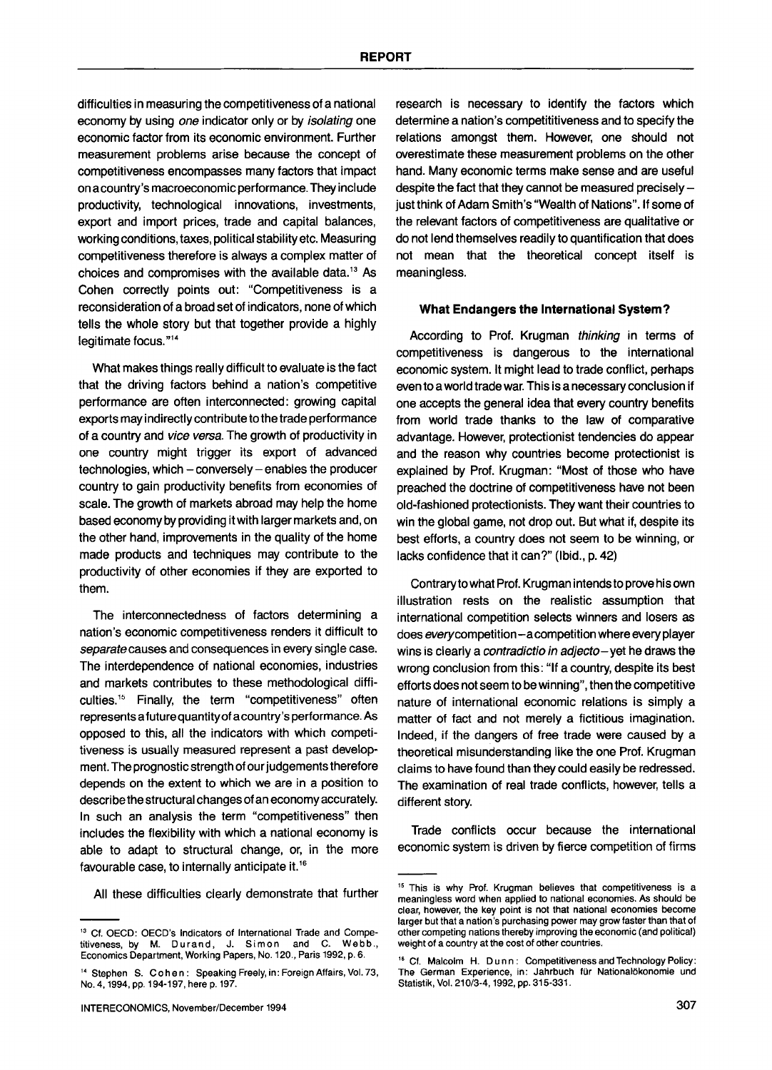difficulties in measuring the competitiveness of a national economy by using *one* indicator only or by *isolating* one economic factor from its economic environment. Further measurement problems arise because the concept of competitiveness encompasses many factors that impact on a country's macroeconomic performance. They include productivity, technological innovations, investments, export and import prices, trade and capital balances, working conditions, taxes, political stability etc. Measuring competitiveness therefore is always a complex matter of choices and compromises with the available data. 13 As Cohen correctly points out: "Competitiveness is a reconsideration of a broad set of indicators, none of which tells the whole story but that together provide a highly legitimate focus."<sup>14</sup>

What makes things really difficult to evaluate is the fact that the driving factors behind a nation's competitive performance are often interconnected: growing capital exports may indirectly contribute to the trade performance of a country and *vice versa.* The growth of productivity in one country might trigger its export of advanced technologies, which - conversely - enables the producer country to gain productivity benefits from economies of scale. The growth of markets abroad may help the home based economy by providing it with larger markets and, on the other hand, improvements in the quality of the home made products and techniques may contribute to the productivity of other economies if they are exported to them.

The interconnectedness of factors determining a nation's economic competitiveness renders it difficult to *separatecauses* and consequences in every single case. The interdependence of national economies, industries and markets contributes to these methodological difficulties.<sup>15</sup> Finally, the term "competitiveness" often represents a future quantity of a country's performance. As opposed to this, all the indicators with which competitiveness is usually measured represent a past development. The prognostic strength of our judgements therefore depends on the extent to which we are in a position to describe the structural changes of an economy accurately. In such an analysis the term "competitiveness" then includes the flexibility with which a national economy is able to adapt to structural change, or, in the more favourable case, to internally anticipate it. 16

All these difficulties clearly demonstrate that further

research is necessary to identify the factors which determine a nation's competititiveness and to specify the relations amongst them. However, one should not overestimate these measurement problems on the other hand. Many economic terms make sense and are useful despite the fact that they cannot be measured precisely  $$ just think of Adam Smith's "Wealth of Nations". If some of the relevant factors of competitiveness are qualitative or do not lend themselves readily to quantification that does not mean that the theoretical concept itself is meaningless.

#### **What Endangers the International System?**

According to Prof. Krugman *thinking* in terms of competitiveness is dangerous to the international economic system. It might lead to trade conflict, perhaps even to a world trade war. This is a necessary conclusion if one accepts the general idea that every country benefits from world trade thanks to the law of comparative advantage. However, protectionist tendencies do appear and the reason why countries become protectionist is explained by Prof. Krugman: "Most of those who have preached the doctrine of competitiveness have not been old-fashioned protectionists. They want their countries to win the global game, not drop out. But what if, despite its best efforts, a country does not seem to be winning, or lacks confidence that it can?" (Ibid., p. 42)

Contraryto what Prof. Krugman intends to prove his own illustration rests on the realistic assumption that international competition selects winners and losers as does *everycompetition-acompetition* where every player wins is clearly a *contradictio in adjecto-yet* he draws the wrong conclusion from this: "If a country, despite its best efforts does not seem to be winning", then the competitive nature of international economic relations is simply a matter of fact and not merely a fictitious imagination. Indeed, if the dangers of free trade were caused by a theoretical misunderstanding like the one Prof. Krugman claims to have found than they could easily be redressed. The examination of real trade conflicts, however, tells a different story.

Trade conflicts occur because the international economic system is driven by fierce competition of firms

<sup>13</sup> Cf. OECD: OECD's Indicators of International Trade and Competitiveness, by M. Durand, J. Simon and C. Webb., Economics Department, Working Papers, No. 120., Paris 1992, p. 6.

<sup>&</sup>lt;sup>14</sup> Stephen S. Cohen: Speaking Freely, in: Foreign Affairs, Vol. 73, No. 4, 1994, pp. 194-197, here p. 197.

<sup>&</sup>lt;sup>15</sup> This is why Prof. Krugman believes that competitiveness is a meaningless word when applied to national *economies. As* should be clear, however, the key point is not that national economies become larger but that a nation's purchasing power may grow faster than that of other competing nations thereby improving the economic (and political) weight of a country at the cost of other countries.

<sup>&</sup>lt;sup>16</sup> Cf. Malcolm H. Dunn: Competitiveness and Technology Policy: The German Experience, in: Jahrbuch für Nationalökonomie und Statistik, Vol. 210/3-4, 1992, pp. 315-331.